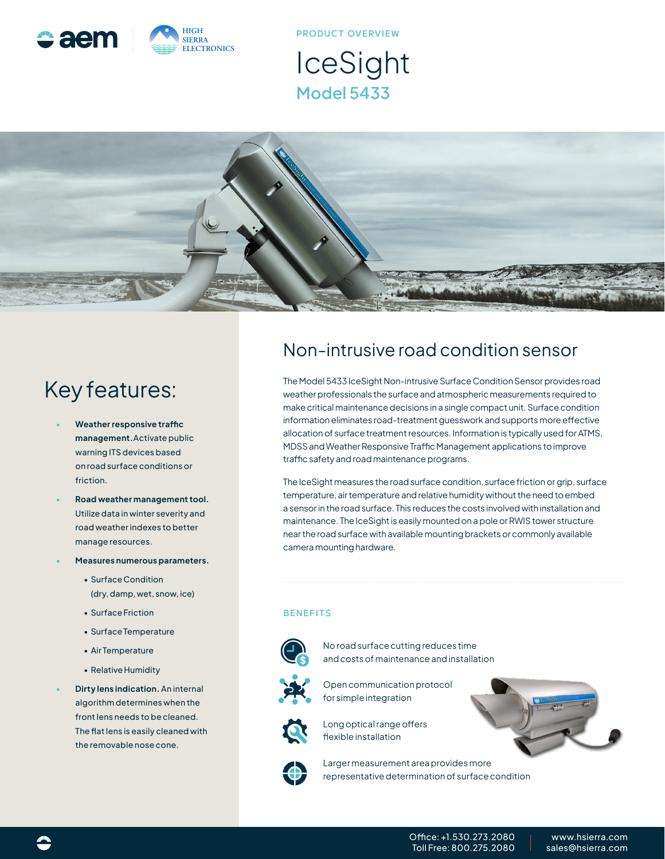

**PRODUCT OVERVIEW**

IceSight **Model 5433**



# Key features:

- **• Weather responsive traffic management.**Activate public warning ITS devices based on road surface conditions or friction.
- **• Road weather management tool.** Utilize data in winter severity and road weather indexes to better manage resources.
- **• Measures numerous parameters.**
	- Surface Condition (dry, damp, wet, snow, ice)
	- Surface Friction
	- Surface Temperature
	- Air Temperature
	- Relative Humidity
- **• Dirty lens indication.** An internal algorithm determines when the front lens needs to be cleaned. The flat lens is easily cleaned with the removable nose cone.

#### Non-intrusive road condition sensor

The Model 5433 IceSight Non-intrusive Surface Condition Sensor provides road weather professionals the surface and atmospheric measurements required to make critical maintenance decisions in a single compact unit. Surface condition information eliminates road-treatment guesswork and supports more effective allocation of surface treatment resources. Information is typically used for ATMS, MDSS and Weather Responsive Traffic Management applications to improve traffic safety and road maintenance programs.

The IceSight measures the road surface condition, surface friction or grip, surface temperature, air temperature and relative humidity without the need to embed a sensor in the road surface. This reduces the costs involved with installation and maintenance. The IceSight is easily mounted on a pole or RWIS tower structure near the road surface with available mounting brackets or commonly available camera mounting hardware.

#### **BENEFITS**



No road surface cutting reduces time and costs of maintenance and installation



Open communication protocol for simple integration



Long optical range offers flexible installation



Larger measurement area provides more representative determination of surface condition